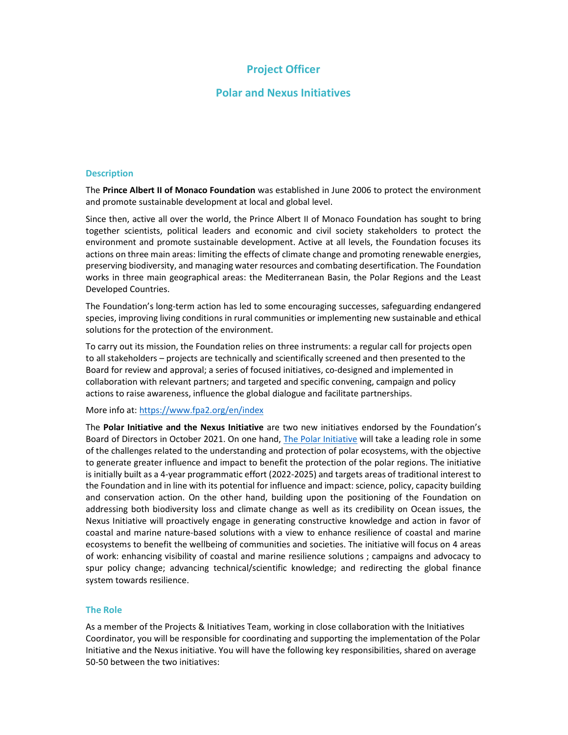# Project Officer

## Polar and Nexus Initiatives

### **Description**

The Prince Albert II of Monaco Foundation was established in June 2006 to protect the environment and promote sustainable development at local and global level.

Since then, active all over the world, the Prince Albert II of Monaco Foundation has sought to bring together scientists, political leaders and economic and civil society stakeholders to protect the environment and promote sustainable development. Active at all levels, the Foundation focuses its actions on three main areas: limiting the effects of climate change and promoting renewable energies, preserving biodiversity, and managing water resources and combating desertification. The Foundation works in three main geographical areas: the Mediterranean Basin, the Polar Regions and the Least Developed Countries.

The Foundation's long-term action has led to some encouraging successes, safeguarding endangered species, improving living conditions in rural communities or implementing new sustainable and ethical solutions for the protection of the environment.

To carry out its mission, the Foundation relies on three instruments: a regular call for projects open to all stakeholders – projects are technically and scientifically screened and then presented to the Board for review and approval; a series of focused initiatives, co-designed and implemented in collaboration with relevant partners; and targeted and specific convening, campaign and policy actions to raise awareness, influence the global dialogue and facilitate partnerships.

More info at: https://www.fpa2.org/en/index

The Polar Initiative and the Nexus Initiative are two new initiatives endorsed by the Foundation's Board of Directors in October 2021. On one hand, The Polar Initiative will take a leading role in some of the challenges related to the understanding and protection of polar ecosystems, with the objective to generate greater influence and impact to benefit the protection of the polar regions. The initiative is initially built as a 4-year programmatic effort (2022-2025) and targets areas of traditional interest to the Foundation and in line with its potential for influence and impact: science, policy, capacity building and conservation action. On the other hand, building upon the positioning of the Foundation on addressing both biodiversity loss and climate change as well as its credibility on Ocean issues, the Nexus Initiative will proactively engage in generating constructive knowledge and action in favor of coastal and marine nature-based solutions with a view to enhance resilience of coastal and marine ecosystems to benefit the wellbeing of communities and societies. The initiative will focus on 4 areas of work: enhancing visibility of coastal and marine resilience solutions ; campaigns and advocacy to spur policy change; advancing technical/scientific knowledge; and redirecting the global finance system towards resilience.

#### The Role

As a member of the Projects & Initiatives Team, working in close collaboration with the Initiatives Coordinator, you will be responsible for coordinating and supporting the implementation of the Polar Initiative and the Nexus initiative. You will have the following key responsibilities, shared on average 50-50 between the two initiatives: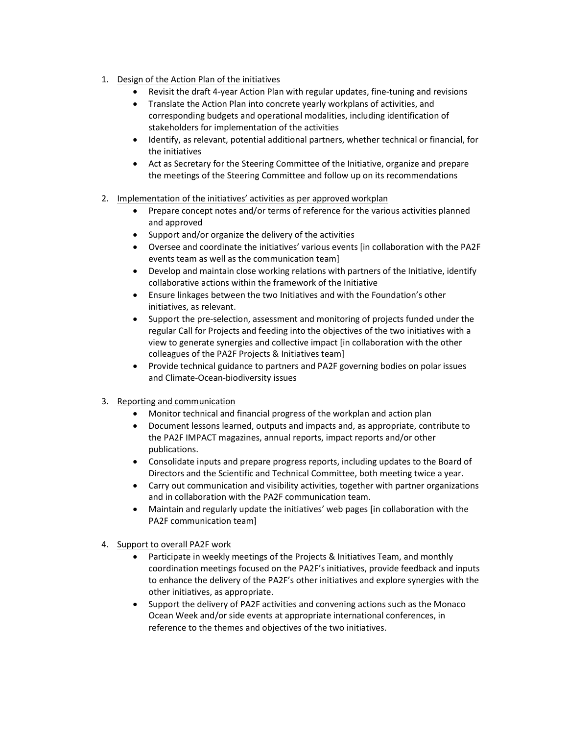- 1. Design of the Action Plan of the initiatives
	- Revisit the draft 4-year Action Plan with regular updates, fine-tuning and revisions
	- Translate the Action Plan into concrete yearly workplans of activities, and corresponding budgets and operational modalities, including identification of stakeholders for implementation of the activities
	- Identify, as relevant, potential additional partners, whether technical or financial, for the initiatives
	- Act as Secretary for the Steering Committee of the Initiative, organize and prepare the meetings of the Steering Committee and follow up on its recommendations
- 2. Implementation of the initiatives' activities as per approved workplan
	- Prepare concept notes and/or terms of reference for the various activities planned and approved
	- Support and/or organize the delivery of the activities
	- Oversee and coordinate the initiatives' various events [in collaboration with the PA2F events team as well as the communication team]
	- Develop and maintain close working relations with partners of the Initiative, identify collaborative actions within the framework of the Initiative
	- Ensure linkages between the two Initiatives and with the Foundation's other initiatives, as relevant.
	- Support the pre-selection, assessment and monitoring of projects funded under the regular Call for Projects and feeding into the objectives of the two initiatives with a view to generate synergies and collective impact [in collaboration with the other colleagues of the PA2F Projects & Initiatives team]
	- Provide technical guidance to partners and PA2F governing bodies on polar issues and Climate-Ocean-biodiversity issues
- 3. Reporting and communication
	- Monitor technical and financial progress of the workplan and action plan
	- Document lessons learned, outputs and impacts and, as appropriate, contribute to the PA2F IMPACT magazines, annual reports, impact reports and/or other publications.
	- Consolidate inputs and prepare progress reports, including updates to the Board of Directors and the Scientific and Technical Committee, both meeting twice a year.
	- Carry out communication and visibility activities, together with partner organizations and in collaboration with the PA2F communication team.
	- Maintain and regularly update the initiatives' web pages [in collaboration with the PA2F communication team]
- 4. Support to overall PA2F work
	- Participate in weekly meetings of the Projects & Initiatives Team, and monthly coordination meetings focused on the PA2F's initiatives, provide feedback and inputs to enhance the delivery of the PA2F's other initiatives and explore synergies with the other initiatives, as appropriate.
	- Support the delivery of PA2F activities and convening actions such as the Monaco Ocean Week and/or side events at appropriate international conferences, in reference to the themes and objectives of the two initiatives.